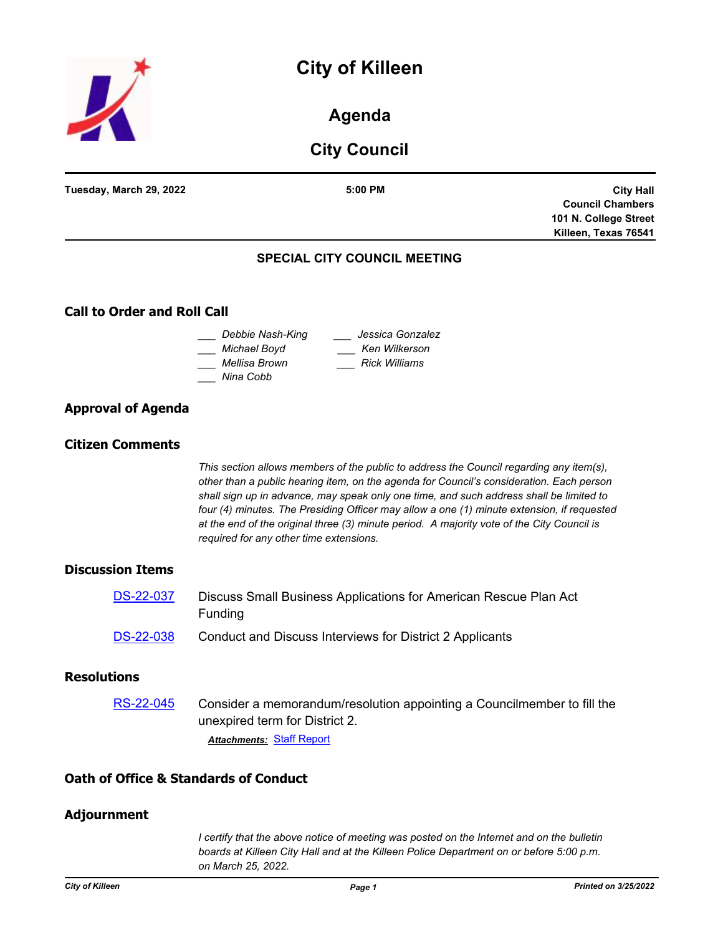



## **Agenda**

# **City Council**

| Tuesday, March 29, 2022 | 5:00 PM                             | <b>City Hall</b>        |
|-------------------------|-------------------------------------|-------------------------|
|                         |                                     | <b>Council Chambers</b> |
|                         |                                     | 101 N. College Street   |
|                         |                                     | Killeen, Texas 76541    |
|                         | <b>SPECIAL CITY COUNCIL MEETING</b> |                         |

## **SPECIAL CITY COUNCIL MEETING**

## **Call to Order and Roll Call**

| Debbie Nash-King | Jessica Gonzalez     |
|------------------|----------------------|
| Michael Boyd     | Ken Wilkerson        |
| Mellisa Brown    | <b>Rick Williams</b> |
| Nina Cobb        |                      |

## **Approval of Agenda**

#### **Citizen Comments**

*This section allows members of the public to address the Council regarding any item(s), other than a public hearing item, on the agenda for Council's consideration. Each person shall sign up in advance, may speak only one time, and such address shall be limited to four (4) minutes. The Presiding Officer may allow a one (1) minute extension, if requested at the end of the original three (3) minute period. A majority vote of the City Council is required for any other time extensions.*

#### **Discussion Items**

| <b>DS-22-037</b> | Discuss Small Business Applications for American Rescue Plan Act<br><b>Funding</b> |
|------------------|------------------------------------------------------------------------------------|
| <b>DS-22-038</b> | Conduct and Discuss Interviews for District 2 Applicants                           |

## **Resolutions**

[RS-22-045](http://killeen.legistar.com/gateway.aspx?m=l&id=/matter.aspx?key=6064) Consider a memorandum/resolution appointing a Councilmember to fill the unexpired term for District 2. *Attachments:* [Staff Report](http://killeen.legistar.com/gateway.aspx?M=F&ID=89cd461a-d03b-4e65-9131-99bf1af57265.pdf)

#### **Oath of Office & Standards of Conduct**

#### **Adjournment**

*I certify that the above notice of meeting was posted on the Internet and on the bulletin boards at Killeen City Hall and at the Killeen Police Department on or before 5:00 p.m. on March 25, 2022.*